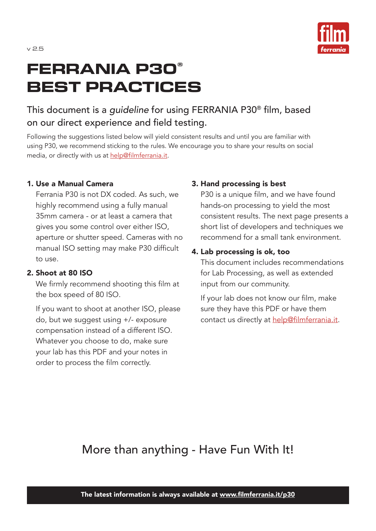

# **FERRANIA P30® BEST PRACTICES**

### This document is a *guideline* for using FERRANIA P30® film, based on our direct experience and field testing.

Following the suggestions listed below will yield consistent results and until you are familiar with using P30, we recommend sticking to the rules. We encourage you to share your results on social media, or directly with us at help@filmferrania.it.

#### 1. Use a Manual Camera

Ferrania P30 is not DX coded. As such, we highly recommend using a fully manual 35mm camera - or at least a camera that gives you some control over either ISO, aperture or shutter speed. Cameras with no manual ISO setting may make P30 difficult to use.

#### 2. Shoot at 80 ISO

We firmly recommend shooting this film at the box speed of 80 ISO.

If you want to shoot at another ISO, please do, but we suggest using +/- exposure compensation instead of a different ISO. Whatever you choose to do, make sure your lab has this PDF and your notes in order to process the film correctly.

#### 3. Hand processing is best

P30 is a unique film, and we have found hands-on processing to yield the most consistent results. The next page presents a short list of developers and techniques we recommend for a small tank environment.

#### 4. Lab processing is ok, too

This document includes recommendations for Lab Processing, as well as extended input from our community.

If your lab does not know our film, make sure they have this PDF or have them contact us directly at help@filmferrania.it.

### More than anything - Have Fun With It!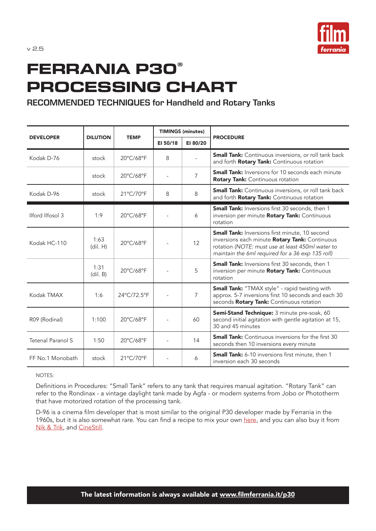

# **FERRANIA P30® PROCESSING CHART**

#### **RECOMMENDED TECHNIQUES for Handheld and Rotary Tanks**

| <b>DEVELOPER</b>  | <b>DILUTION</b>  | <b>TEMP</b> | <b>TIMINGS (minutes)</b> |                |                                                                                                                                                                                                                 |
|-------------------|------------------|-------------|--------------------------|----------------|-----------------------------------------------------------------------------------------------------------------------------------------------------------------------------------------------------------------|
|                   |                  |             | EI 50/18                 | EI 80/20       | <b>PROCEDURE</b>                                                                                                                                                                                                |
| Kodak D-76        | stock            | 20°C/68°F   | 8                        |                | <b>Small Tank:</b> Continuous inversions, or roll tank back<br>and forth <b>Rotary Tank:</b> Continuous rotation                                                                                                |
|                   | stock            | 20°C/68°F   |                          | $\overline{7}$ | <b>Small Tank:</b> Inversions for 10 seconds each minute<br>Rotary Tank: Continuous rotation                                                                                                                    |
| Kodak D-96        | stock            | 21°C/70°F   | 8                        | 8              | <b>Small Tank:</b> Continuous inversions, or roll tank back<br>and forth Rotary Tank: Continuous rotation                                                                                                       |
| Ilford Ilfosol 3  | 1:9              | 20°C/68°F   |                          | 6              | <b>Small Tank:</b> Inversions first 30 seconds, then 1<br>inversion per minute Rotary Tank: Continuous<br>rotation                                                                                              |
| Kodak HC-110      | 1:63<br>(dil. H) | 20°C/68°F   |                          | 12             | <b>Small Tank:</b> Inversions first minute, 10 second<br>inversions each minute Rotary Tank: Continuous<br>rotation (NOTE: must use at least 450ml water to<br>maintain the 6ml required for a 36 exp 135 roll) |
|                   | 1:31<br>(dil. B) | 20°C/68°F   |                          | 5              | <b>Small Tank:</b> Inversions first 30 seconds, then 1<br>inversion per minute Rotary Tank: Continuous<br>rotation                                                                                              |
| Kodak TMAX        | 1:6              | 24°C/72.5°F |                          | 7              | <b>Small Tank:</b> "TMAX style" - rapid twisting with<br>approx. 5-7 inversions first 10 seconds and each 30<br>seconds Rotary Tank: Continuous rotation                                                        |
| R09 (Rodinal)     | 1:100            | 20°C/68°F   |                          | 60             | Semi-Stand Technique: 3 minute pre-soak, 60<br>second initial agitation with gentle agitation at 15,<br>30 and 45 minutes                                                                                       |
| Tetenal Paranol S | 1:50             | 20°C/68°F   |                          | 14             | <b>Small Tank:</b> Continuous inversions for the first 30<br>seconds then 10 inversions every minute                                                                                                            |
| FF No.1 Monobath  | stock            | 21°C/70°F   |                          | 6              | <b>Small Tank:</b> 6-10 inversions first minute, then 1<br>inversion each 30 seconds                                                                                                                            |

NOTES:

Definitions in Procedures: "Small Tank" refers to any tank that requires manual agitation. "Rotary Tank" can refer to the Rondinax - a vintage daylight tank made by Agfa - or modern systems from Jobo or Phototherm that have motorized rotation of the processing tank.

D-96 is a cinema film developer that is most similar to the original P30 developer made by Ferrania in the 1960s, but it is also somewhat rare. You can find a recipe to mix your own here, and you can also buy it from Nik & Trik, and CineStill.